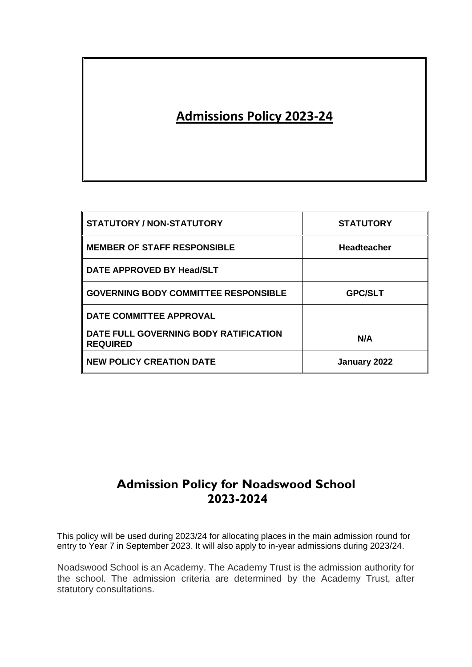# **Admissions Policy 2023-24**

| <b>STATUTORY / NON-STATUTORY</b>                         | <b>STATUTORY</b>   |
|----------------------------------------------------------|--------------------|
| <b>MEMBER OF STAFF RESPONSIBLE</b>                       | <b>Headteacher</b> |
| DATE APPROVED BY Head/SLT                                |                    |
| <b>GOVERNING BODY COMMITTEE RESPONSIBLE</b>              | <b>GPC/SLT</b>     |
| DATE COMMITTEE APPROVAL                                  |                    |
| DATE FULL GOVERNING BODY RATIFICATION<br><b>REQUIRED</b> | N/A                |
| <b>NEW POLICY CREATION DATE</b>                          | January 2022       |

## **Admission Policy for Noadswood School 2023-2024**

This policy will be used during 2023/24 for allocating places in the main admission round for entry to Year 7 in September 2023. It will also apply to in-year admissions during 2023/24.

Noadswood School is an Academy. The Academy Trust is the admission authority for the school. The admission criteria are determined by the Academy Trust, after statutory consultations.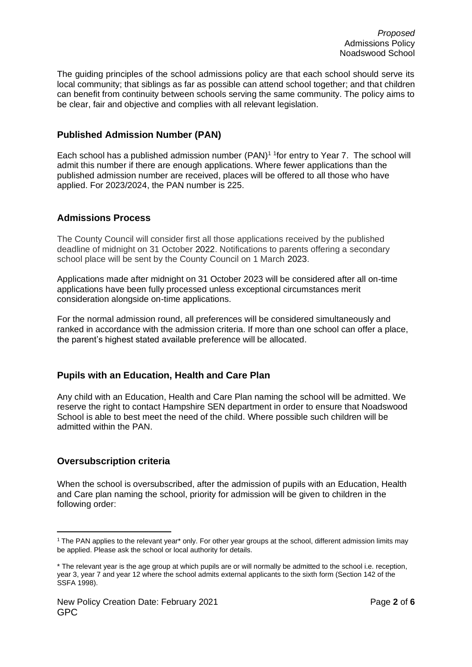The guiding principles of the school admissions policy are that each school should serve its local community; that siblings as far as possible can attend school together; and that children can benefit from continuity between schools serving the same community. The policy aims to be clear, fair and objective and complies with all relevant legislation.

## **Published Admission Number (PAN)**

Each school has a published admission number  $(PAN)^1$  <sup>1</sup> for entry to Year 7. The school will admit this number if there are enough applications. Where fewer applications than the published admission number are received, places will be offered to all those who have applied. For 2023/2024, the PAN number is 225.

## **Admissions Process**

The County Council will consider first all those applications received by the published deadline of midnight on 31 October 2022. Notifications to parents offering a secondary school place will be sent by the County Council on 1 March 2023.

Applications made after midnight on 31 October 2023 will be considered after all on-time applications have been fully processed unless exceptional circumstances merit consideration alongside on-time applications.

For the normal admission round, all preferences will be considered simultaneously and ranked in accordance with the admission criteria. If more than one school can offer a place, the parent's highest stated available preference will be allocated.

## **Pupils with an Education, Health and Care Plan**

Any child with an Education, Health and Care Plan naming the school will be admitted. We reserve the right to contact Hampshire SEN department in order to ensure that Noadswood School is able to best meet the need of the child. Where possible such children will be admitted within the PAN.

## **Oversubscription criteria**

When the school is oversubscribed, after the admission of pupils with an Education, Health and Care plan naming the school, priority for admission will be given to children in the following order:

 $1$  The PAN applies to the relevant year\* only. For other year groups at the school, different admission limits may be applied. Please ask the school or local authority for details.

<sup>\*</sup> The relevant year is the age group at which pupils are or will normally be admitted to the school i.e. reception, year 3, year 7 and year 12 where the school admits external applicants to the sixth form (Section 142 of the SSFA 1998).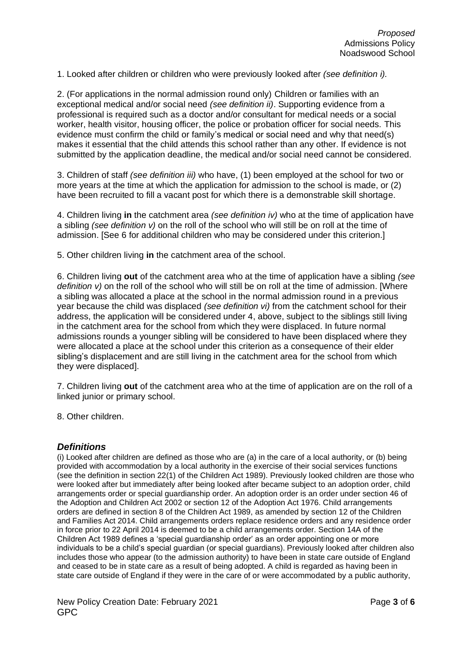1. Looked after children or children who were previously looked after *(see definition i).* 

2. (For applications in the normal admission round only) Children or families with an exceptional medical and/or social need *(see definition ii)*. Supporting evidence from a professional is required such as a doctor and/or consultant for medical needs or a social worker, health visitor, housing officer, the police or probation officer for social needs. This evidence must confirm the child or family's medical or social need and why that need(s) makes it essential that the child attends this school rather than any other. If evidence is not submitted by the application deadline, the medical and/or social need cannot be considered.

3. Children of staff *(see definition iii)* who have, (1) been employed at the school for two or more years at the time at which the application for admission to the school is made, or (2) have been recruited to fill a vacant post for which there is a demonstrable skill shortage.

4. Children living **in** the catchment area *(see definition iv)* who at the time of application have a sibling *(see definition v)* on the roll of the school who will still be on roll at the time of admission. [See 6 for additional children who may be considered under this criterion.]

5. Other children living **in** the catchment area of the school.

6. Children living **out** of the catchment area who at the time of application have a sibling *(see definition v*) on the roll of the school who will still be on roll at the time of admission. [Where a sibling was allocated a place at the school in the normal admission round in a previous year because the child was displaced *(see definition vi)* from the catchment school for their address, the application will be considered under 4, above, subject to the siblings still living in the catchment area for the school from which they were displaced. In future normal admissions rounds a younger sibling will be considered to have been displaced where they were allocated a place at the school under this criterion as a consequence of their elder sibling's displacement and are still living in the catchment area for the school from which they were displaced].

7. Children living **out** of the catchment area who at the time of application are on the roll of a linked junior or primary school.

8. Other children.

#### *Definitions*

(i) Looked after children are defined as those who are (a) in the care of a local authority, or (b) being provided with accommodation by a local authority in the exercise of their social services functions (see the definition in section 22(1) of the Children Act 1989). Previously looked children are those who were looked after but immediately after being looked after became subject to an adoption order, child arrangements order or special guardianship order. An adoption order is an order under section 46 of the Adoption and Children Act 2002 or section 12 of the Adoption Act 1976. Child arrangements orders are defined in section 8 of the Children Act 1989, as amended by section 12 of the Children and Families Act 2014. Child arrangements orders replace residence orders and any residence order in force prior to 22 April 2014 is deemed to be a child arrangements order. Section 14A of the Children Act 1989 defines a 'special guardianship order' as an order appointing one or more individuals to be a child's special guardian (or special guardians). Previously looked after children also includes those who appear (to the admission authority) to have been in state care outside of England and ceased to be in state care as a result of being adopted. A child is regarded as having been in state care outside of England if they were in the care of or were accommodated by a public authority,

New Policy Creation Date: February 2021 Page **3** of **6** GPC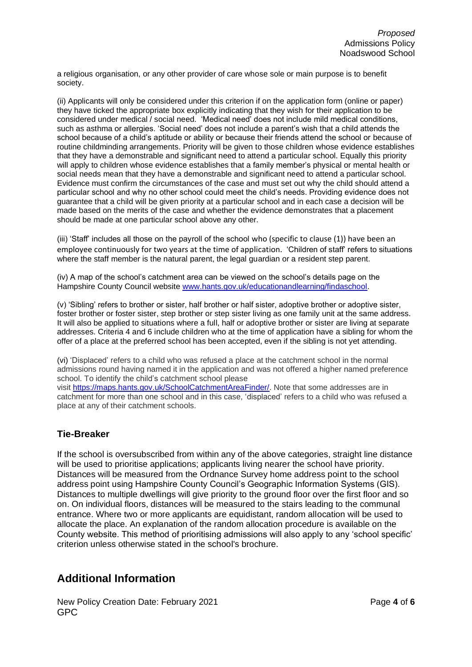a religious organisation, or any other provider of care whose sole or main purpose is to benefit society.

(ii) Applicants will only be considered under this criterion if on the application form (online or paper) they have ticked the appropriate box explicitly indicating that they wish for their application to be considered under medical / social need. 'Medical need' does not include mild medical conditions, such as asthma or allergies. 'Social need' does not include a parent's wish that a child attends the school because of a child's aptitude or ability or because their friends attend the school or because of routine childminding arrangements. Priority will be given to those children whose evidence establishes that they have a demonstrable and significant need to attend a particular school. Equally this priority will apply to children whose evidence establishes that a family member's physical or mental health or social needs mean that they have a demonstrable and significant need to attend a particular school. Evidence must confirm the circumstances of the case and must set out why the child should attend a particular school and why no other school could meet the child's needs. Providing evidence does not guarantee that a child will be given priority at a particular school and in each case a decision will be made based on the merits of the case and whether the evidence demonstrates that a placement should be made at one particular school above any other.

(iii) 'Staff' includes all those on the payroll of the school who (specific to clause (1)) have been an employee continuously for two years at the time of application. 'Children of staff' refers to situations where the staff member is the natural parent, the legal guardian or a resident step parent.

(iv) A map of the school's catchment area can be viewed on the school's details page on the Hampshire County Council website [www.hants.gov.uk/educationandlearning/findaschool.](http://www.hants.gov.uk/educationandlearning/findaschool)

(v) 'Sibling' refers to brother or sister, half brother or half sister, adoptive brother or adoptive sister, foster brother or foster sister, step brother or step sister living as one family unit at the same address. It will also be applied to situations where a full, half or adoptive brother or sister are living at separate addresses. Criteria 4 and 6 include children who at the time of application have a sibling for whom the offer of a place at the preferred school has been accepted, even if the sibling is not yet attending.

(vi) 'Displaced' refers to a child who was refused a place at the catchment school in the normal admissions round having named it in the application and was not offered a higher named preference school. To identify the child's catchment school please visit [https://maps.hants.gov.uk/SchoolCatchmentAreaFinder/.](https://maps.hants.gov.uk/SchoolCatchmentAreaFinder/) Note that some addresses are in catchment for more than one school and in this case, 'displaced' refers to a child who was refused a place at any of their catchment schools.

## **Tie-Breaker**

If the school is oversubscribed from within any of the above categories, straight line distance will be used to prioritise applications; applicants living nearer the school have priority. Distances will be measured from the Ordnance Survey home address point to the school address point using Hampshire County Council's Geographic Information Systems (GIS). Distances to multiple dwellings will give priority to the ground floor over the first floor and so on. On individual floors, distances will be measured to the stairs leading to the communal entrance. Where two or more applicants are equidistant, random allocation will be used to allocate the place. An explanation of the random allocation procedure is available on the County website. This method of prioritising admissions will also apply to any 'school specific' criterion unless otherwise stated in the school's brochure.

## **Additional Information**

New Policy Creation Date: February 2021 **Page 4** of 6 GPC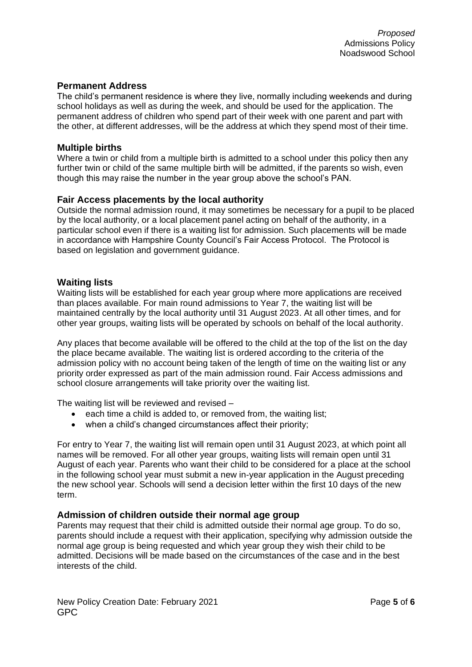#### **Permanent Address**

The child's permanent residence is where they live, normally including weekends and during school holidays as well as during the week, and should be used for the application. The permanent address of children who spend part of their week with one parent and part with the other, at different addresses, will be the address at which they spend most of their time.

#### **Multiple births**

Where a twin or child from a multiple birth is admitted to a school under this policy then any further twin or child of the same multiple birth will be admitted, if the parents so wish, even though this may raise the number in the year group above the school's PAN.

#### **Fair Access placements by the local authority**

Outside the normal admission round, it may sometimes be necessary for a pupil to be placed by the local authority, or a local placement panel acting on behalf of the authority, in a particular school even if there is a waiting list for admission. Such placements will be made in accordance with Hampshire County Council's Fair Access Protocol. The Protocol is based on legislation and government guidance.

#### **Waiting lists**

Waiting lists will be established for each year group where more applications are received than places available. For main round admissions to Year 7, the waiting list will be maintained centrally by the local authority until 31 August 2023. At all other times, and for other year groups, waiting lists will be operated by schools on behalf of the local authority.

Any places that become available will be offered to the child at the top of the list on the day the place became available. The waiting list is ordered according to the criteria of the admission policy with no account being taken of the length of time on the waiting list or any priority order expressed as part of the main admission round. Fair Access admissions and school closure arrangements will take priority over the waiting list.

The waiting list will be reviewed and revised –

- each time a child is added to, or removed from, the waiting list;
- when a child's changed circumstances affect their priority;

For entry to Year 7, the waiting list will remain open until 31 August 2023, at which point all names will be removed. For all other year groups, waiting lists will remain open until 31 August of each year. Parents who want their child to be considered for a place at the school in the following school year must submit a new in-year application in the August preceding the new school year. Schools will send a decision letter within the first 10 days of the new term.

#### **Admission of children outside their normal age group**

Parents may request that their child is admitted outside their normal age group. To do so, parents should include a request with their application, specifying why admission outside the normal age group is being requested and which year group they wish their child to be admitted. Decisions will be made based on the circumstances of the case and in the best interests of the child.